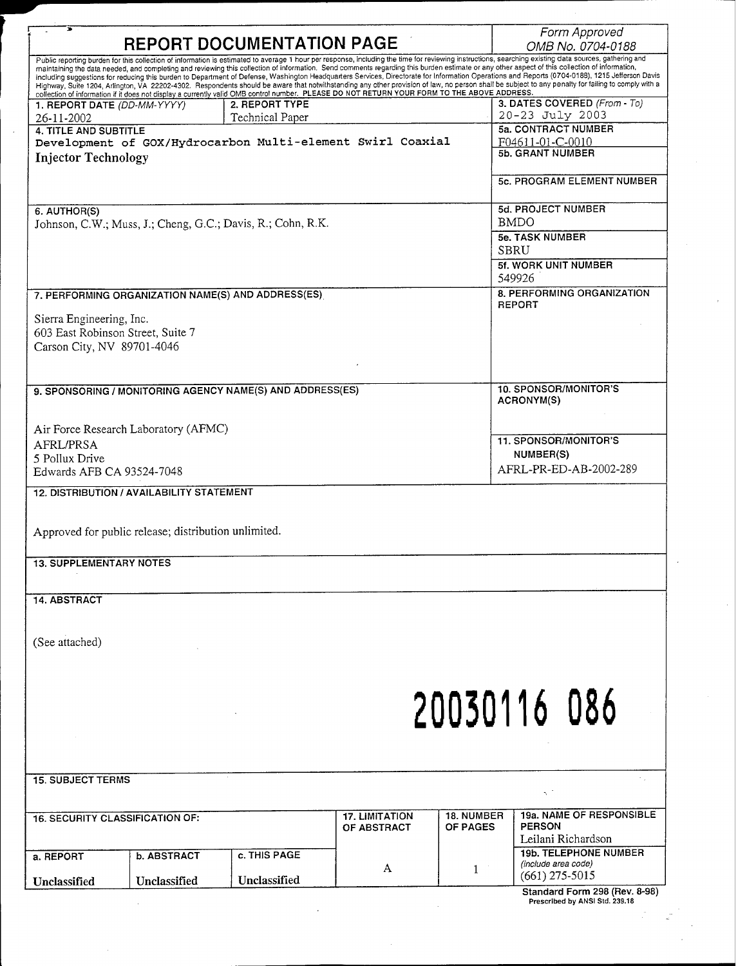| <b>REPORT DOCUMENTATION PAGE</b>                                                                                                                                                                      |                    |                                                            |                                                                                                                                             |                   | Form Approved<br>OMB No. 0704-0188                                                                                                                                                                                                                                                                                                                                                               |
|-------------------------------------------------------------------------------------------------------------------------------------------------------------------------------------------------------|--------------------|------------------------------------------------------------|---------------------------------------------------------------------------------------------------------------------------------------------|-------------------|--------------------------------------------------------------------------------------------------------------------------------------------------------------------------------------------------------------------------------------------------------------------------------------------------------------------------------------------------------------------------------------------------|
| Public reporting burden for this collection of information is estimated to average 1 hour per response, including the time for reviewing instructions, searching existing data sources, gathering and |                    |                                                            |                                                                                                                                             |                   |                                                                                                                                                                                                                                                                                                                                                                                                  |
|                                                                                                                                                                                                       |                    |                                                            |                                                                                                                                             |                   | maintaining the data needed, and completing and reviewing this collection of information. Send comments regarding this burden estimate or any other aspect of this collection of information,<br>including suggestions for reducing this burden to Department of Defense, Washington Headquarters Services, Directorate for Information Operations and Reports (0704-0188), 1215 Jefferson Davis |
|                                                                                                                                                                                                       |                    |                                                            | collection of information if if does not display a currently valid OMB control number. PLEASE DO NOT RETURN YOUR FORM TO THE ABOVE ADDRESS. |                   | Highway, Suite 1204, Arlington, VA 22202-4302. Respondents should be aware that notwithstanding any other provision of law, no person shall be subject to any penalty for failing to comply with a                                                                                                                                                                                               |
| 1. REPORT DATE (DD-MM-YYYY)                                                                                                                                                                           |                    | 2. REPORT TYPE                                             |                                                                                                                                             |                   | 3. DATES COVERED (From - To)<br>20-23 July 2003                                                                                                                                                                                                                                                                                                                                                  |
| 26-11-2002<br>4. TITLE AND SUBTITLE                                                                                                                                                                   |                    | Technical Paper                                            |                                                                                                                                             |                   | <b>5a. CONTRACT NUMBER</b>                                                                                                                                                                                                                                                                                                                                                                       |
|                                                                                                                                                                                                       |                    | Development of GOX/Hydrocarbon Multi-element Swirl Coaxial |                                                                                                                                             | F04611-01-C-0010  |                                                                                                                                                                                                                                                                                                                                                                                                  |
| <b>Injector Technology</b>                                                                                                                                                                            |                    |                                                            |                                                                                                                                             |                   | <b>5b. GRANT NUMBER</b>                                                                                                                                                                                                                                                                                                                                                                          |
|                                                                                                                                                                                                       |                    |                                                            |                                                                                                                                             |                   | <b>5c. PROGRAM ELEMENT NUMBER</b>                                                                                                                                                                                                                                                                                                                                                                |
| 6. AUTHOR(S)<br>Johnson, C.W.; Muss, J.; Cheng, G.C.; Davis, R.; Cohn, R.K.                                                                                                                           |                    |                                                            |                                                                                                                                             |                   | <b>5d. PROJECT NUMBER</b><br><b>BMDO</b>                                                                                                                                                                                                                                                                                                                                                         |
|                                                                                                                                                                                                       |                    |                                                            |                                                                                                                                             |                   | <b>5e. TASK NUMBER</b>                                                                                                                                                                                                                                                                                                                                                                           |
|                                                                                                                                                                                                       |                    |                                                            |                                                                                                                                             |                   | <b>SBRU</b>                                                                                                                                                                                                                                                                                                                                                                                      |
|                                                                                                                                                                                                       |                    |                                                            |                                                                                                                                             |                   | 5f. WORK UNIT NUMBER<br>549926                                                                                                                                                                                                                                                                                                                                                                   |
| 7. PERFORMING ORGANIZATION NAME(S) AND ADDRESS(ES)                                                                                                                                                    |                    |                                                            |                                                                                                                                             |                   | 8. PERFORMING ORGANIZATION                                                                                                                                                                                                                                                                                                                                                                       |
| Sierra Engineering, Inc.                                                                                                                                                                              |                    |                                                            |                                                                                                                                             |                   | <b>REPORT</b>                                                                                                                                                                                                                                                                                                                                                                                    |
| 603 East Robinson Street, Suite 7                                                                                                                                                                     |                    |                                                            |                                                                                                                                             |                   |                                                                                                                                                                                                                                                                                                                                                                                                  |
| Carson City, NV 89701-4046                                                                                                                                                                            |                    |                                                            |                                                                                                                                             |                   |                                                                                                                                                                                                                                                                                                                                                                                                  |
|                                                                                                                                                                                                       |                    |                                                            |                                                                                                                                             |                   |                                                                                                                                                                                                                                                                                                                                                                                                  |
|                                                                                                                                                                                                       |                    |                                                            |                                                                                                                                             |                   |                                                                                                                                                                                                                                                                                                                                                                                                  |
| 9. SPONSORING / MONITORING AGENCY NAME(S) AND ADDRESS(ES)                                                                                                                                             |                    |                                                            |                                                                                                                                             |                   | 10. SPONSOR/MONITOR'S<br>ACRONYM(S)                                                                                                                                                                                                                                                                                                                                                              |
|                                                                                                                                                                                                       |                    |                                                            |                                                                                                                                             |                   |                                                                                                                                                                                                                                                                                                                                                                                                  |
| Air Force Research Laboratory (AFMC)                                                                                                                                                                  |                    |                                                            |                                                                                                                                             |                   |                                                                                                                                                                                                                                                                                                                                                                                                  |
| AFRL/PRSA                                                                                                                                                                                             |                    |                                                            |                                                                                                                                             |                   | 11. SPONSOR/MONITOR'S<br>NUMBER(S)                                                                                                                                                                                                                                                                                                                                                               |
| 5 Pollux Drive<br>Edwards AFB CA 93524-7048                                                                                                                                                           |                    |                                                            |                                                                                                                                             |                   | AFRL-PR-ED-AB-2002-289                                                                                                                                                                                                                                                                                                                                                                           |
|                                                                                                                                                                                                       |                    |                                                            |                                                                                                                                             |                   |                                                                                                                                                                                                                                                                                                                                                                                                  |
| <b>12. DISTRIBUTION / AVAILABILITY STATEMENT</b>                                                                                                                                                      |                    |                                                            |                                                                                                                                             |                   |                                                                                                                                                                                                                                                                                                                                                                                                  |
|                                                                                                                                                                                                       |                    |                                                            |                                                                                                                                             |                   |                                                                                                                                                                                                                                                                                                                                                                                                  |
| Approved for public release; distribution unlimited.                                                                                                                                                  |                    |                                                            |                                                                                                                                             |                   |                                                                                                                                                                                                                                                                                                                                                                                                  |
| <b>13. SUPPLEMENTARY NOTES</b>                                                                                                                                                                        |                    |                                                            |                                                                                                                                             |                   |                                                                                                                                                                                                                                                                                                                                                                                                  |
|                                                                                                                                                                                                       |                    |                                                            |                                                                                                                                             |                   |                                                                                                                                                                                                                                                                                                                                                                                                  |
| <b>14. ABSTRACT</b>                                                                                                                                                                                   |                    |                                                            |                                                                                                                                             |                   |                                                                                                                                                                                                                                                                                                                                                                                                  |
|                                                                                                                                                                                                       |                    |                                                            |                                                                                                                                             |                   |                                                                                                                                                                                                                                                                                                                                                                                                  |
|                                                                                                                                                                                                       |                    |                                                            |                                                                                                                                             |                   |                                                                                                                                                                                                                                                                                                                                                                                                  |
| (See attached)                                                                                                                                                                                        |                    |                                                            |                                                                                                                                             |                   |                                                                                                                                                                                                                                                                                                                                                                                                  |
|                                                                                                                                                                                                       |                    |                                                            |                                                                                                                                             |                   |                                                                                                                                                                                                                                                                                                                                                                                                  |
|                                                                                                                                                                                                       |                    |                                                            |                                                                                                                                             |                   |                                                                                                                                                                                                                                                                                                                                                                                                  |
|                                                                                                                                                                                                       |                    |                                                            |                                                                                                                                             |                   |                                                                                                                                                                                                                                                                                                                                                                                                  |
|                                                                                                                                                                                                       |                    |                                                            |                                                                                                                                             |                   | 20030116 086                                                                                                                                                                                                                                                                                                                                                                                     |
|                                                                                                                                                                                                       |                    |                                                            |                                                                                                                                             |                   |                                                                                                                                                                                                                                                                                                                                                                                                  |
|                                                                                                                                                                                                       |                    |                                                            |                                                                                                                                             |                   |                                                                                                                                                                                                                                                                                                                                                                                                  |
|                                                                                                                                                                                                       |                    |                                                            |                                                                                                                                             |                   |                                                                                                                                                                                                                                                                                                                                                                                                  |
| <b>15. SUBJECT TERMS</b>                                                                                                                                                                              |                    |                                                            |                                                                                                                                             |                   |                                                                                                                                                                                                                                                                                                                                                                                                  |
|                                                                                                                                                                                                       |                    |                                                            |                                                                                                                                             |                   | Ñ.                                                                                                                                                                                                                                                                                                                                                                                               |
| <b>16. SECURITY CLASSIFICATION OF:</b>                                                                                                                                                                |                    |                                                            | <b>17. LIMITATION</b>                                                                                                                       | <b>18. NUMBER</b> | 19a. NAME OF RESPONSIBLE                                                                                                                                                                                                                                                                                                                                                                         |
|                                                                                                                                                                                                       |                    |                                                            | OF ABSTRACT                                                                                                                                 | OF PAGES          | <b>PERSON</b><br>Leilani Richardson                                                                                                                                                                                                                                                                                                                                                              |
|                                                                                                                                                                                                       |                    | c. THIS PAGE                                               |                                                                                                                                             |                   | <b>19b. TELEPHONE NUMBER</b>                                                                                                                                                                                                                                                                                                                                                                     |
| a. REPORT                                                                                                                                                                                             | <b>b. ABSTRACT</b> |                                                            | A                                                                                                                                           | 1                 | (include area code)                                                                                                                                                                                                                                                                                                                                                                              |
| Unclassified                                                                                                                                                                                          | Unclassified       | Unclassified                                               |                                                                                                                                             |                   | $(661)$ 275-5015                                                                                                                                                                                                                                                                                                                                                                                 |
|                                                                                                                                                                                                       |                    |                                                            |                                                                                                                                             |                   | Standard Form 298 (Rev. 8-98)<br>Prescribed by ANSI Std. 239.18                                                                                                                                                                                                                                                                                                                                  |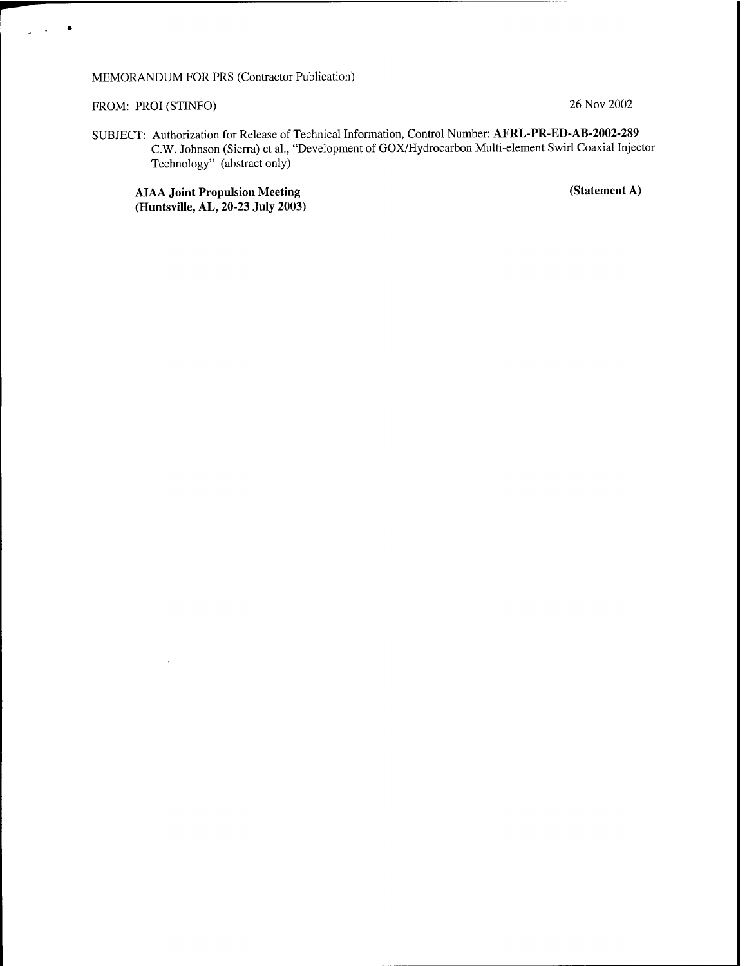## MEMORANDUM FOR PRS (Contractor Publication)

## FROM: PROI (STINFO) 26 Nov 2002

SUBJECT: Authorization for Release of Technical Information, Control Number: **AFRL-PR-ED-AB-2002-289** C.W. Johnson (Sierra) et al., "Development of GOX/Hydrocarbon Multi-element Swirl Coaxial Injector Technology" (abstract only)

**AIAA Joint Propulsion Meeting (Statement A) (Huntsville, AL, 20-23 July 2003)**